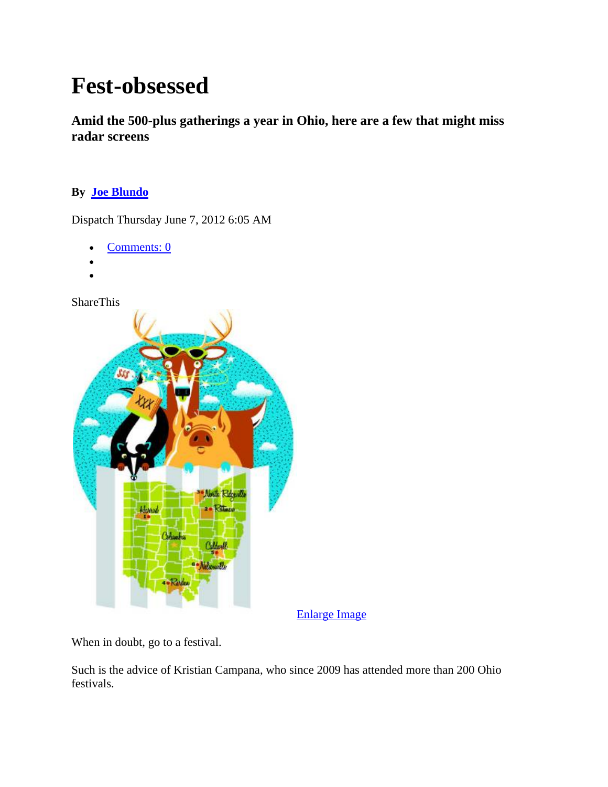# **Fest-obsessed**

**Amid the 500-plus gatherings a year in Ohio, here are a few that might miss radar screens** 

# **By Joe Blundo**

Dispatch Thursday June 7, 2012 6:05 AM

- Comments: 0
- •
- •

ShareThis



Enlarge Image

When in doubt, go to a festival.

Such is the advice of Kristian Campana, who since 2009 has attended more than 200 Ohio festivals.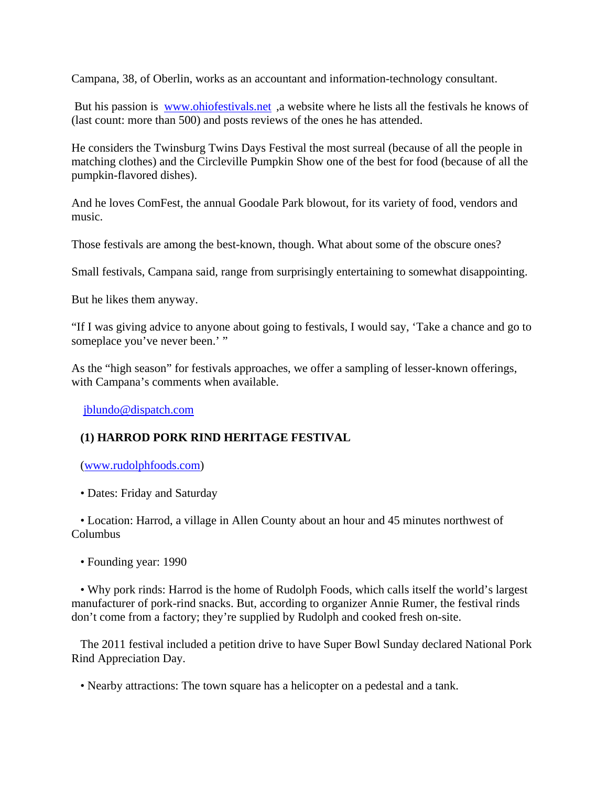Campana, 38, of Oberlin, works as an accountant and information-technology consultant.

 But his passion is www.ohiofestivals.net ,a website where he lists all the festivals he knows of (last count: more than 500) and posts reviews of the ones he has attended.

He considers the Twinsburg Twins Days Festival the most surreal (because of all the people in matching clothes) and the Circleville Pumpkin Show one of the best for food (because of all the pumpkin-flavored dishes).

And he loves ComFest, the annual Goodale Park blowout, for its variety of food, vendors and music.

Those festivals are among the best-known, though. What about some of the obscure ones?

Small festivals, Campana said, range from surprisingly entertaining to somewhat disappointing.

But he likes them anyway.

"If I was giving advice to anyone about going to festivals, I would say, 'Take a chance and go to someplace you've never been.' "

As the "high season" for festivals approaches, we offer a sampling of lesser-known offerings, with Campana's comments when available.

jblundo@dispatch.com

## **(1) HARROD PORK RIND HERITAGE FESTIVAL**

(www.rudolphfoods.com)

• Dates: Friday and Saturday

 • Location: Harrod, a village in Allen County about an hour and 45 minutes northwest of Columbus

• Founding year: 1990

 • Why pork rinds: Harrod is the home of Rudolph Foods, which calls itself the world's largest manufacturer of pork-rind snacks. But, according to organizer Annie Rumer, the festival rinds don't come from a factory; they're supplied by Rudolph and cooked fresh on-site.

 The 2011 festival included a petition drive to have Super Bowl Sunday declared National Pork Rind Appreciation Day.

• Nearby attractions: The town square has a helicopter on a pedestal and a tank.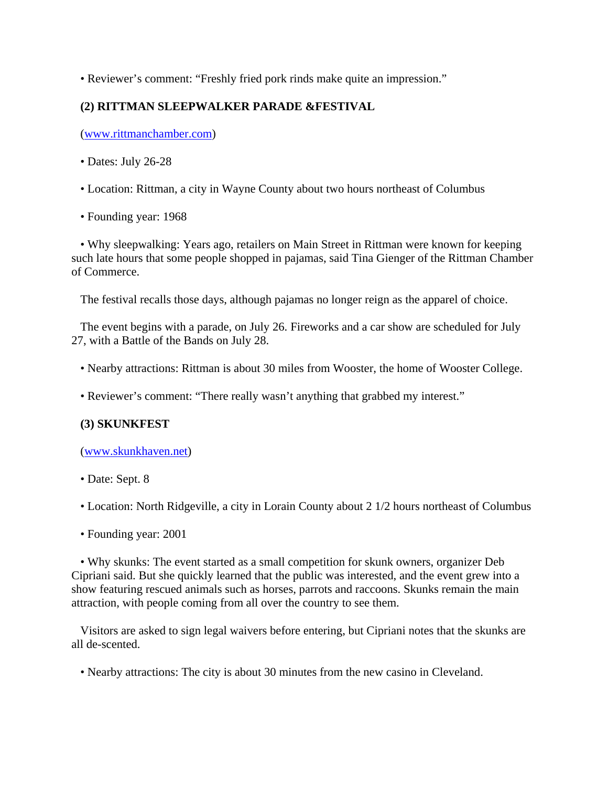• Reviewer's comment: "Freshly fried pork rinds make quite an impression."

# **(2) RITTMAN SLEEPWALKER PARADE &FESTIVAL**

(www.rittmanchamber.com)

- Dates: July 26-28
- Location: Rittman, a city in Wayne County about two hours northeast of Columbus
- Founding year: 1968

 • Why sleepwalking: Years ago, retailers on Main Street in Rittman were known for keeping such late hours that some people shopped in pajamas, said Tina Gienger of the Rittman Chamber of Commerce.

The festival recalls those days, although pajamas no longer reign as the apparel of choice.

 The event begins with a parade, on July 26. Fireworks and a car show are scheduled for July 27, with a Battle of the Bands on July 28.

- Nearby attractions: Rittman is about 30 miles from Wooster, the home of Wooster College.
- Reviewer's comment: "There really wasn't anything that grabbed my interest."

## **(3) SKUNKFEST**

#### (www.skunkhaven.net)

- Date: Sept. 8
- Location: North Ridgeville, a city in Lorain County about 2 1/2 hours northeast of Columbus
- Founding year: 2001

 • Why skunks: The event started as a small competition for skunk owners, organizer Deb Cipriani said. But she quickly learned that the public was interested, and the event grew into a show featuring rescued animals such as horses, parrots and raccoons. Skunks remain the main attraction, with people coming from all over the country to see them.

 Visitors are asked to sign legal waivers before entering, but Cipriani notes that the skunks are all de-scented.

• Nearby attractions: The city is about 30 minutes from the new casino in Cleveland.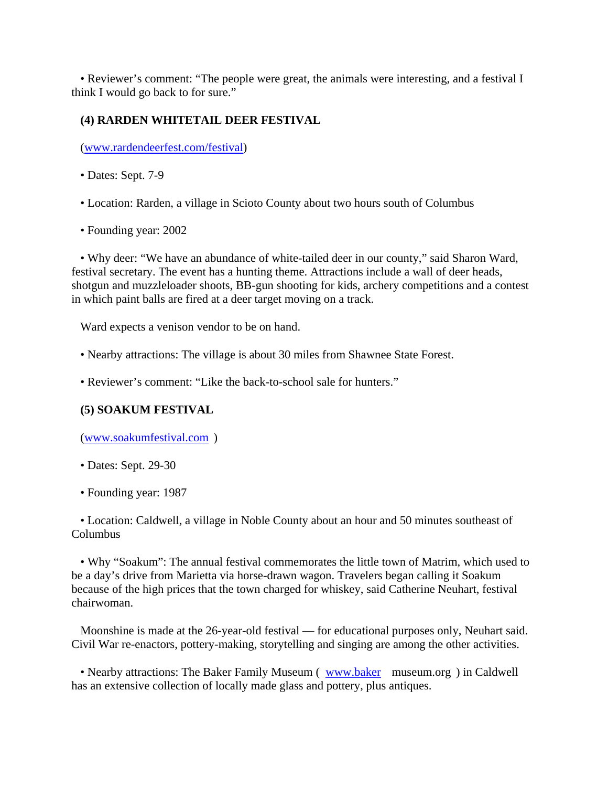• Reviewer's comment: "The people were great, the animals were interesting, and a festival I think I would go back to for sure."

## **(4) RARDEN WHITETAIL DEER FESTIVAL**

(www.rardendeerfest.com/festival)

- Dates: Sept. 7-9
- Location: Rarden, a village in Scioto County about two hours south of Columbus
- Founding year: 2002

 • Why deer: "We have an abundance of white-tailed deer in our county," said Sharon Ward, festival secretary. The event has a hunting theme. Attractions include a wall of deer heads, shotgun and muzzleloader shoots, BB-gun shooting for kids, archery competitions and a contest in which paint balls are fired at a deer target moving on a track.

Ward expects a venison vendor to be on hand.

- Nearby attractions: The village is about 30 miles from Shawnee State Forest.
- Reviewer's comment: "Like the back-to-school sale for hunters."

## **(5) SOAKUM FESTIVAL**

(www.soakumfestival.com )

- Dates: Sept. 29-30
- Founding year: 1987

 • Location: Caldwell, a village in Noble County about an hour and 50 minutes southeast of Columbus

 • Why "Soakum": The annual festival commemorates the little town of Matrim, which used to be a day's drive from Marietta via horse-drawn wagon. Travelers began calling it Soakum because of the high prices that the town charged for whiskey, said Catherine Neuhart, festival chairwoman.

 Moonshine is made at the 26-year-old festival — for educational purposes only, Neuhart said. Civil War re-enactors, pottery-making, storytelling and singing are among the other activities.

• Nearby attractions: The Baker Family Museum (www.baker museum.org) in Caldwell has an extensive collection of locally made glass and pottery, plus antiques.